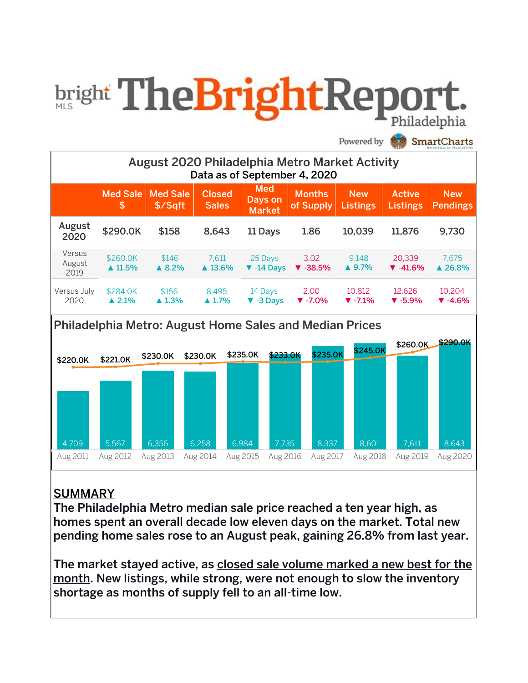# **bright TheBrightRepo1**

Powered by **Ord** SmartCharts



#### SUMMARY

The Philadelphia Metro median sale price reached a ten year high, as homes spent an overall decade low eleven days on the market. Total new pending home sales rose to an August peak, gaining 26.8% from last year.

Aug2011 Aug2012 Aug2013 Aug2014 Aug2015 Aug2016 Aug2017 Aug2018 Aug2019 Aug2020 4,709 5,567 6,356 6,258 6,984 7,735 8,337 8,601 7,611 8,643

The market stayed active, as closed sale volume marked a new best for the month. New listings, while strong, were not enough to slow the inventory shortage as months of supply fell to an all-time low.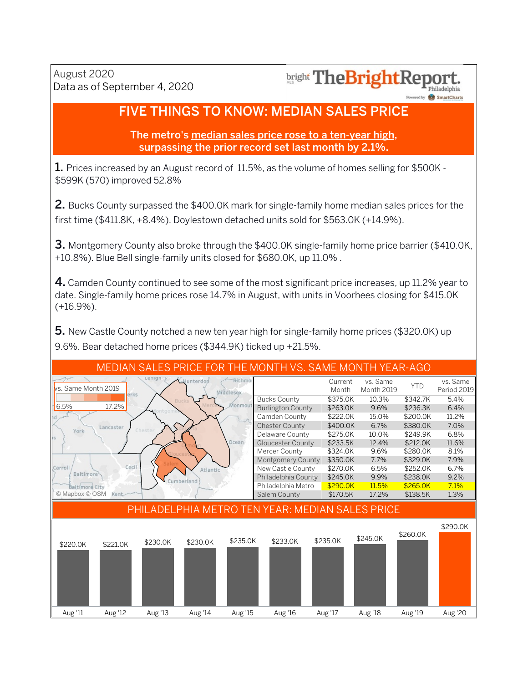# **bright TheBrightReport**

Powered by **SmartCharts** 

#### **FIVE THINGS TO KNOW: MEDIAN SALES PRICE**

The metro's median sales price rose to a ten-year high, surpassing the prior record set last month by 2.1%.

1. Prices increased by an August record of 11.5%, as the volume of homes selling for \$500K -\$599K (570) improved 52.8%

**2.** Bucks County surpassed the \$400.0K mark for single-family home median sales prices for the first time  $(\$411.8K, +8.4\%)$ . Doylestown detached units sold for \$563.0K  $(+14.9\%)$ .

3. Montgomery County also broke through the \$400.0K single-family home price barrier (\$410.0K, +10.8%). Blue Bell single-family units closed for \$680.0K, up 11.0%.

4. Camden County continued to see some of the most significant price increases, up 11.2% year to date. Single-family home prices rose 14.7% in August, with units in Voorhees closing for \$415.0K (+16.9%).

**5.** New Castle County notched a new ten year high for single-family home prices (\$320.0K) up 9.6%. Bear detached home prices (\$344.9K) ticked up +21.5%.

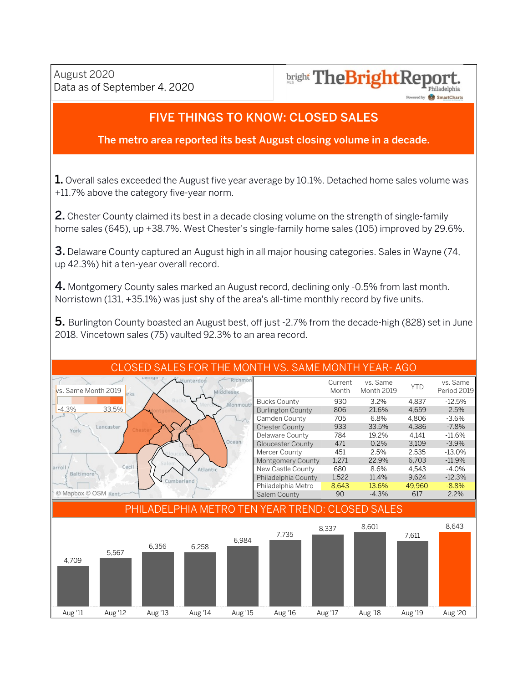bright TheBrightReport

Powered by **SmartCharts** 

#### FIVE THINGS TO KNOW: CLOSED SALES

The metro area reported its best August closing volume in a decade.

1. Overall sales exceeded the August five year average by 10.1%. Detached home sales volume was +11.7% above the category five-year norm.

2. Chester County claimed its best in a decade closing volume on the strength of single-family home sales (645), up +38.7%. West Chester's single-family home sales (105) improved by 29.6%.

**3.** Delaware County captured an August high in all major housing categories. Sales in Wayne (74, up 42.3%) hit a ten-year overall record.

4. Montgomery County sales marked an August record, declining only -0.5% from last month. Norristown (131, +35.1%) was just shy of the area's all-time monthly record by five units.

5. Burlington County boasted an August best, off just -2.7% from the decade-high (828) set in June 2018. Vincetown sales (75) vaulted 92.3% to an area record.

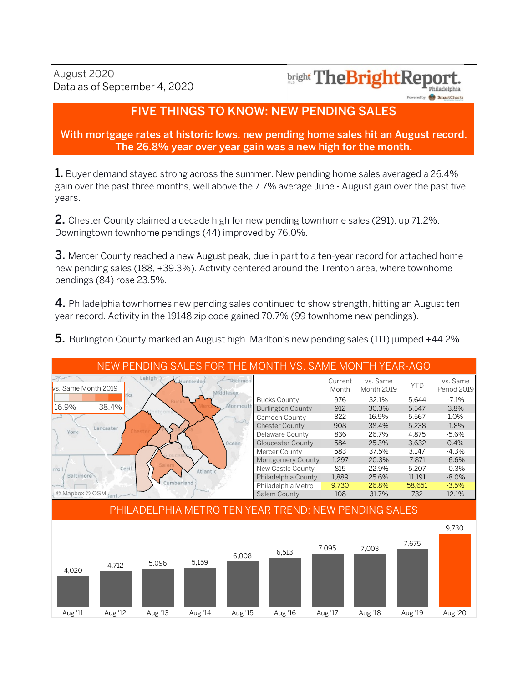## **bright TheBrightReport**

Powered by **SmartCharts** 

#### FIVE THINGS TO KNOW: NEW PENDING SALES

#### With mortgage rates at historic lows, new pending home sales hit an August record. The 26.8% year over year gain was a new high for the month.

1. Buyer demand stayed strong across the summer. New pending home sales averaged a 26.4% gain over the past three months, well above the 7.7% average June - August gain over the past five years.

**2.** Chester County claimed a decade high for new pending townhome sales (291), up 71.2%. Downingtown townhome pendings (44) improved by 76.0%.

3. Mercer County reached a new August peak, due in part to a ten-year record for attached home new pending sales (188, +39.3%). Activity centered around the Trenton area, where townhome pendings (84) rose 23.5%.

4. Philadelphia townhomes new pending sales continued to show strength, hitting an August ten year record. Activity in the 19148 zip code gained 70.7% (99 townhome new pendings).

5. Burlington County marked an August high. Marlton's new pending sales (111) jumped +44.2%.



Aug'11 Aug'12 Aug'13 Aug'14 Aug'15 Aug'16 Aug'17 Aug'18 Aug'19 Aug'20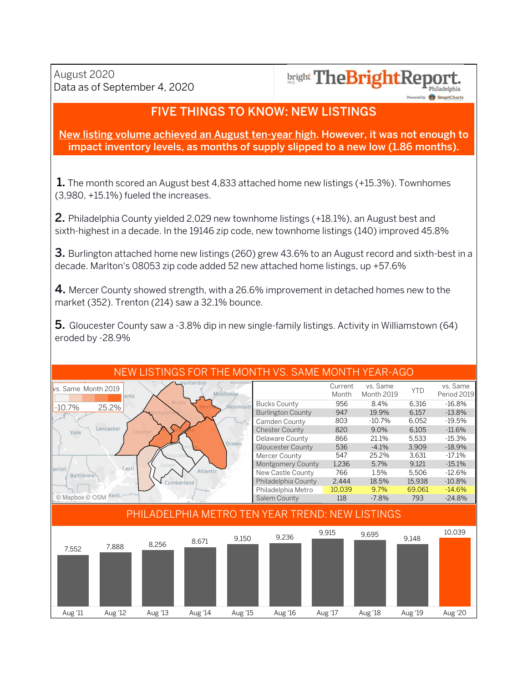# **bright TheBrightReport**

Powered by **SmartCharts** 

#### FIVE THINGS TO KNOW: NEW LISTINGS

#### New listing volume achieved an August ten-year high. However, it was not enough to impact inventory levels, as months of supply slipped to a new low (1.86 months).

1. The month scored an August best 4,833 attached home new listings (+15.3%). Townhomes  $(3,980, +15.1\%)$  fueled the increases.

**2.** Philadelphia County yielded 2,029 new townhome listings (+18.1%), an August best and sixth-highest in a decade. In the 19146 zip code, new townhome listings (140) improved 45.8%

**3.** Burlington attached home new listings (260) grew 43.6% to an August record and sixth-best in a decade. Marlton's 08053 zip code added 52 new attached home listings, up +57.6%

4. Mercer County showed strength, with a 26.6% improvement in detached homes new to the market (352). Trenton (214) saw a 32.1% bounce.

**5.** Gloucester County saw a -3.8% dip in new single-family listings. Activity in Williamstown (64) eroded by -28.9%



#### NEW LISTINGS FOR THE MONTH VS. SAME MONTH YEAR-AGO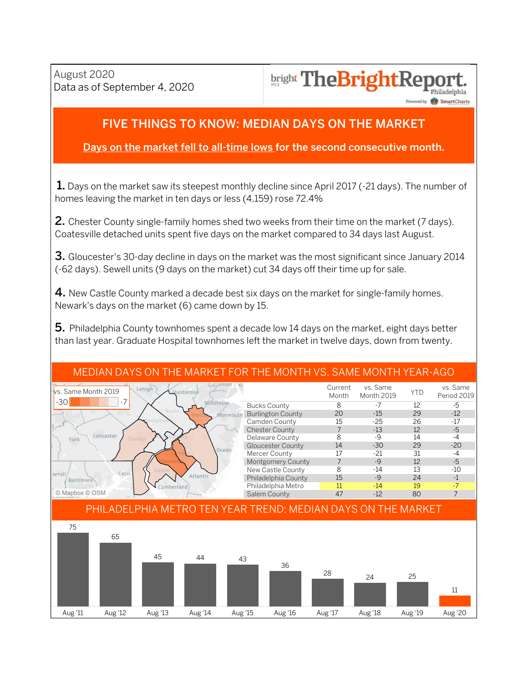#### **bright TheBrightRey** Philadelphia

Powered by **SmartCharts** 

#### FIVE THINGS TO KNOW: MEDIAN DAYS ON THE MARKET

#### Days on the market fell to all-time lows for the second consecutive month.

**1.** Days on the market saw its steepest monthly decline since April 2017 (-21 days). The number of homes leaving the market in ten days or less (4,159) rose 72.4%

2. Chester County single-family homes shed two weeks from their time on the market (7 days). Coatesville detached units spent five days on the market compared to 34 days last August.

**3.** Gloucester's 30-day decline in days on the market was the most significant since January 2014 (-62 days). Sewell units (9 days on the market) cut 34 days off their time up for sale.

4. New Castle County marked a decade best six days on the market for single-family homes. Newark's days on the market (6) came down by 15.

**5.** Philadelphia County townhomes spent a decade low 14 days on the market, eight days better than last year. Graduate Hospital townhomes left the market in twelve days, down from twenty.

#### vs.Same vs.Same Current Lehigh vs. Same Month 2019 YTD nterdon Month 2019 Period 2019 Month  $-30$   $-7$ Middlesex -7 12 -5 8 **Bucks County** 20 -15 29 -12 **Burlington County** Monmouth -25 26 -17 Camden County 15 -13 **Chester County** 7 12 -5 Lancaster 8 -9 14 -4 Delaware County York 14 -30 29 -20 **Gloucester County** ian Mercer County 17 -21 31 -4 Montgomery County 7 -9 12 -5 -14 13 -10 8 New Castle County rrol Ceci Atlanti Philadelphia County 15 -9 24 -1 Baltimore -14 19 -7 Philadelphia Metro 11 umberland ©Mapbox©OSM 47 80 Salem County **47** - 12 80 7 -12

MEDIAN DAYS ON THE MARKET FOR THE MONTH VS. SAME MONTH YEAR-AGO

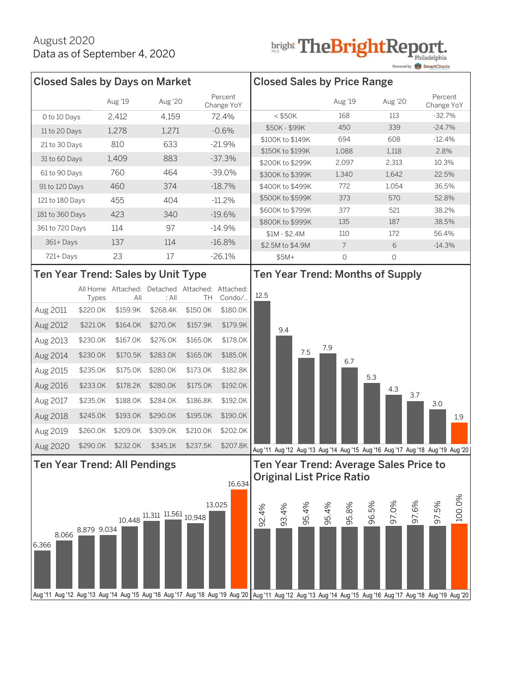# **bright TheBrightReport.**

|                                                                                                                                                           |                                    |                                  |                                                          |          |                       |                                      |                  |       |                                        |                |       |                 |          | Powered by <b>Command SmartCharts</b>                                           |        |  |  |
|-----------------------------------------------------------------------------------------------------------------------------------------------------------|------------------------------------|----------------------------------|----------------------------------------------------------|----------|-----------------------|--------------------------------------|------------------|-------|----------------------------------------|----------------|-------|-----------------|----------|---------------------------------------------------------------------------------|--------|--|--|
| <b>Closed Sales by Days on Market</b>                                                                                                                     | <b>Closed Sales by Price Range</b> |                                  |                                                          |          |                       |                                      |                  |       |                                        |                |       |                 |          |                                                                                 |        |  |  |
|                                                                                                                                                           |                                    | Aug '19                          | Aug '20                                                  |          | Percent<br>Change YoY |                                      |                  |       |                                        | Aug '19        |       | Aug '20         |          | Percent<br>Change YoY                                                           |        |  |  |
| O to 10 Days                                                                                                                                              |                                    | 2,412                            | 4,159                                                    | 72.4%    |                       | $<$ \$50K                            |                  |       |                                        | 168            |       | $-32.7%$<br>113 |          |                                                                                 |        |  |  |
| 11 to 20 Days                                                                                                                                             |                                    | 1,278                            | 1,271                                                    | $-0.6%$  |                       | \$50K - \$99K                        |                  |       |                                        | 450            |       | 339             | $-24.7%$ |                                                                                 |        |  |  |
| 21 to 30 Days                                                                                                                                             |                                    | 810                              | 633                                                      | $-21.9%$ |                       | \$100K to \$149K                     |                  |       |                                        | 694            |       | 608             |          | $-12.4%$                                                                        |        |  |  |
| 31 to 60 Days                                                                                                                                             |                                    | 1,409                            | 883                                                      | $-37.3%$ |                       | \$150K to \$199K                     |                  |       |                                        | 1,088          |       | 1,118           |          | 2.8%<br>10.3%                                                                   |        |  |  |
| 61 to 90 Days                                                                                                                                             |                                    | 760                              | 464                                                      |          | $-39.0%$              |                                      | \$200K to \$299K |       |                                        | 2,097          |       | 2,313           |          | 22.5%                                                                           |        |  |  |
|                                                                                                                                                           |                                    | 460                              | 374                                                      | $-18.7%$ |                       | \$300K to \$399K                     |                  |       |                                        | 1,340<br>772   |       | 1,642<br>1,054  |          | 36.5%                                                                           |        |  |  |
| 91 to 120 Days                                                                                                                                            |                                    |                                  |                                                          |          |                       | \$400K to \$499K<br>\$500K to \$599K |                  |       |                                        | 373            |       | 570             |          | 52.8%                                                                           |        |  |  |
| 121 to 180 Days                                                                                                                                           |                                    | 455                              | 404                                                      | $-11.2%$ |                       | \$600K to \$799K                     |                  |       |                                        | 377            |       | 521             |          | 38.2%                                                                           |        |  |  |
| 181 to 360 Days                                                                                                                                           |                                    | 423                              | 340                                                      | $-19.6%$ |                       | \$800K to \$999K                     |                  |       |                                        | 135            |       | 187             | 38.5%    |                                                                                 |        |  |  |
| 361 to 720 Days                                                                                                                                           |                                    | 114                              | 97                                                       | $-14.9%$ |                       | $$1M - $2.4M$                        |                  |       |                                        | 110            |       | 172             |          | 56.4%                                                                           |        |  |  |
| 361+Days                                                                                                                                                  |                                    | 137                              | 114                                                      |          | $-16.8%$              |                                      | \$2.5M to \$4.9M |       |                                        | $\overline{7}$ |       | 6               |          | $-14.3%$                                                                        |        |  |  |
| 721+Days                                                                                                                                                  |                                    | 23                               | 17                                                       |          | $-26.1%$              | $$5M+$                               |                  |       | 0                                      |                | 0     |                 |          |                                                                                 |        |  |  |
| Ten Year Trend: Sales by Unit Type                                                                                                                        |                                    |                                  |                                                          |          |                       |                                      |                  |       | Ten Year Trend: Months of Supply       |                |       |                 |          |                                                                                 |        |  |  |
|                                                                                                                                                           | Types                              | AII                              | All Home Attached: Detached Attached: Attached:<br>: All | TH       | Condo/                | 12.5                                 |                  |       |                                        |                |       |                 |          |                                                                                 |        |  |  |
| Aug 2011                                                                                                                                                  | \$220.0K                           | \$159.9K                         | \$268.4K                                                 | \$150.0K | \$180.0K              |                                      |                  |       |                                        |                |       |                 |          |                                                                                 |        |  |  |
| Aug 2012                                                                                                                                                  | \$221.0K                           | \$164.0K                         | \$270.0K                                                 | \$157.9K | \$179.9K              |                                      |                  |       |                                        |                |       |                 |          |                                                                                 |        |  |  |
| Aug 2013                                                                                                                                                  | \$230.0K                           | \$167.0K                         | \$276.0K                                                 | \$165.0K | \$178.0K              |                                      | 9.4              |       |                                        |                |       |                 |          |                                                                                 |        |  |  |
| Aug 2014                                                                                                                                                  | \$230.0K                           | \$170.5K                         | \$283.0K                                                 | \$165.0K | \$185.0K              |                                      |                  | 7.5   | 7.9                                    |                |       |                 |          |                                                                                 |        |  |  |
| Aug 2015                                                                                                                                                  | \$235.0K                           | \$175.0K                         | \$280.0K                                                 | \$173.0K | \$182.8K              |                                      |                  |       |                                        | 6.7            |       |                 |          |                                                                                 |        |  |  |
| Aug 2016                                                                                                                                                  | \$233.0K                           | \$178.2K                         | \$280.0K                                                 | \$175.0K | \$192.0K              |                                      |                  |       |                                        |                | 5.3   | 4.3             |          |                                                                                 |        |  |  |
| Aug 2017                                                                                                                                                  | \$235.0K                           | \$188.0K                         | \$284.0K                                                 | \$186.8K | \$192.0K              |                                      |                  |       |                                        |                |       |                 | 3.7      | 3.0                                                                             |        |  |  |
| Aug 2018                                                                                                                                                  | \$245.0K                           | \$193.0K                         | \$290.0K                                                 | \$195.0K | \$190.0K              |                                      |                  |       |                                        |                |       |                 |          |                                                                                 | 1.9    |  |  |
| Aug 2019                                                                                                                                                  | \$260.0K                           | \$209.0K                         | \$309.0K                                                 | \$210.0K | \$202.0K              |                                      |                  |       |                                        |                |       |                 |          |                                                                                 |        |  |  |
| Aug 2020                                                                                                                                                  | \$290.0K                           | \$232.0K                         | \$345.1K                                                 | \$237.5K | \$207.8K              |                                      |                  |       |                                        |                |       |                 |          | Aug '11 Aug '12 Aug '13 Aug '14 Aug '15 Aug '16 Aug '17 Aug '18 Aug '19 Aug '20 |        |  |  |
| <b>Ten Year Trend: All Pendings</b>                                                                                                                       |                                    |                                  |                                                          |          |                       |                                      |                  |       | Ten Year Trend: Average Sales Price to |                |       |                 |          |                                                                                 |        |  |  |
|                                                                                                                                                           |                                    | <b>Original List Price Ratio</b> |                                                          |          |                       |                                      |                  |       |                                        |                |       |                 |          |                                                                                 |        |  |  |
|                                                                                                                                                           |                                    |                                  |                                                          |          |                       |                                      |                  |       |                                        |                |       |                 |          |                                                                                 |        |  |  |
|                                                                                                                                                           |                                    |                                  |                                                          |          | 13,025                | 92.4%                                | 93.4%            | 95.4% | 95.4%                                  | 95.8%          | 96.5% | 97.0%           | 97.6%    | 97.5%                                                                           | 100.0% |  |  |
|                                                                                                                                                           |                                    |                                  | $10.448 \overline{11.311} \overline{11.561} 10.948$      |          |                       |                                      |                  |       |                                        |                |       |                 |          |                                                                                 |        |  |  |
| 8,066                                                                                                                                                     | 8,879 9,034                        |                                  |                                                          |          |                       |                                      |                  |       |                                        |                |       |                 |          |                                                                                 |        |  |  |
| 6,366                                                                                                                                                     |                                    |                                  |                                                          |          |                       |                                      |                  |       |                                        |                |       |                 |          |                                                                                 |        |  |  |
|                                                                                                                                                           |                                    |                                  |                                                          |          |                       |                                      |                  |       |                                        |                |       |                 |          |                                                                                 |        |  |  |
|                                                                                                                                                           |                                    |                                  |                                                          |          |                       |                                      |                  |       |                                        |                |       |                 |          |                                                                                 |        |  |  |
|                                                                                                                                                           |                                    |                                  |                                                          |          |                       |                                      |                  |       |                                        |                |       |                 |          |                                                                                 |        |  |  |
| Aug '11 Aug '12 Aug '13 Aug '14 Aug '15 Aug '16 Aug '17 Aug '18 Aug '19 Aug '20   Aug '11 Aug '12 Aug '14 Aug '15 Aug '16 Aug '17 Aug '18 Aug '19 Aug '20 |                                    |                                  |                                                          |          |                       |                                      |                  |       |                                        |                |       |                 |          |                                                                                 |        |  |  |